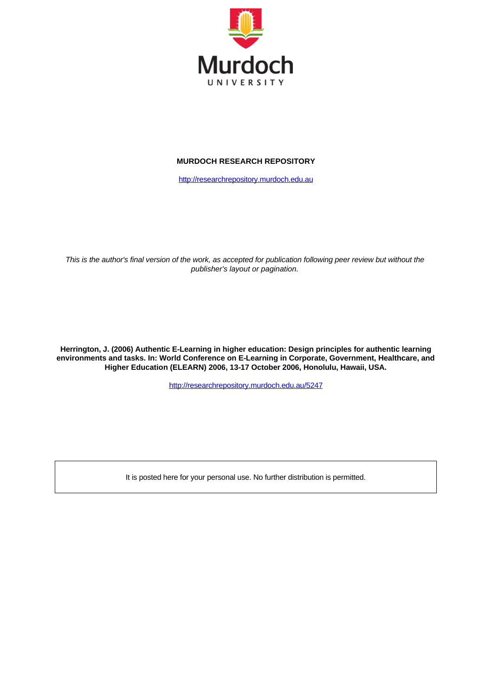

# **MURDOCH RESEARCH REPOSITORY**

[http://researchrepository.murdoch.edu.au](http://researchrepository.murdoch.edu.au/)

*This is the author's final version of the work, as accepted for publication following peer review but without the publisher's layout or pagination.*

**Herrington, J. (2006) Authentic E-Learning in higher education: Design principles for authentic learning environments and tasks. In: World Conference on E-Learning in Corporate, Government, Healthcare, and Higher Education (ELEARN) 2006, 13-17 October 2006, Honolulu, Hawaii, USA.**

<http://researchrepository.murdoch.edu.au/5247>

It is posted here for your personal use. No further distribution is permitted.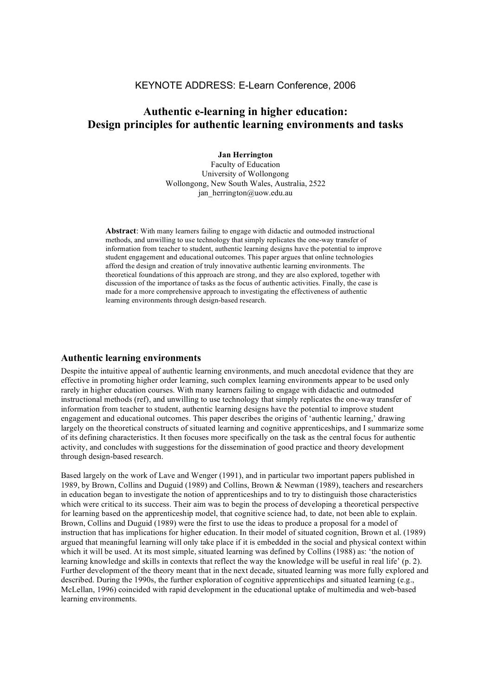# KEYNOTE ADDRESS: E-Learn Conference, 2006

# **Authentic e-learning in higher education: Design principles for authentic learning environments and tasks**

**Jan Herrington** Faculty of Education University of Wollongong Wollongong, New South Wales, Australia, 2522 jan herrington@uow.edu.au

**Abstract**: With many learners failing to engage with didactic and outmoded instructional methods, and unwilling to use technology that simply replicates the one-way transfer of information from teacher to student, authentic learning designs have the potential to improve student engagement and educational outcomes. This paper argues that online technologies afford the design and creation of truly innovative authentic learning environments. The theoretical foundations of this approach are strong, and they are also explored, together with discussion of the importance of tasks as the focus of authentic activities. Finally, the case is made for a more comprehensive approach to investigating the effectiveness of authentic learning environments through design-based research.

## **Authentic learning environments**

Despite the intuitive appeal of authentic learning environments, and much anecdotal evidence that they are effective in promoting higher order learning, such complex learning environments appear to be used only rarely in higher education courses. With many learners failing to engage with didactic and outmoded instructional methods (ref), and unwilling to use technology that simply replicates the one-way transfer of information from teacher to student, authentic learning designs have the potential to improve student engagement and educational outcomes. This paper describes the origins of 'authentic learning,' drawing largely on the theoretical constructs of situated learning and cognitive apprenticeships, and I summarize some of its defining characteristics. It then focuses more specifically on the task as the central focus for authentic activity, and concludes with suggestions for the dissemination of good practice and theory development through design-based research.

Based largely on the work of Lave and Wenger (1991), and in particular two important papers published in 1989, by Brown, Collins and Duguid (1989) and Collins, Brown & Newman (1989), teachers and researchers in education began to investigate the notion of apprenticeships and to try to distinguish those characteristics which were critical to its success. Their aim was to begin the process of developing a theoretical perspective for learning based on the apprenticeship model, that cognitive science had, to date, not been able to explain. Brown, Collins and Duguid (1989) were the first to use the ideas to produce a proposal for a model of instruction that has implications for higher education. In their model of situated cognition, Brown et al. (1989) argued that meaningful learning will only take place if it is embedded in the social and physical context within which it will be used. At its most simple, situated learning was defined by Collins (1988) as: 'the notion of learning knowledge and skills in contexts that reflect the way the knowledge will be useful in real life' (p. 2). Further development of the theory meant that in the next decade, situated learning was more fully explored and described. During the 1990s, the further exploration of cognitive apprenticehips and situated learning (e.g., McLellan, 1996) coincided with rapid development in the educational uptake of multimedia and web-based learning environments.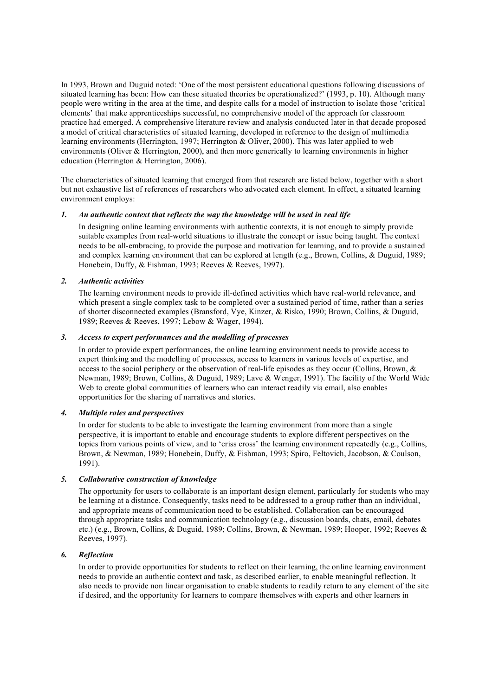In 1993, Brown and Duguid noted: 'One of the most persistent educational questions following discussions of situated learning has been: How can these situated theories be operationalized?' (1993, p. 10). Although many people were writing in the area at the time, and despite calls for a model of instruction to isolate those 'critical elements' that make apprenticeships successful, no comprehensive model of the approach for classroom practice had emerged. A comprehensive literature review and analysis conducted later in that decade proposed a model of critical characteristics of situated learning, developed in reference to the design of multimedia learning environments (Herrington, 1997; Herrington & Oliver, 2000). This was later applied to web environments (Oliver & Herrington, 2000), and then more generically to learning environments in higher education (Herrington & Herrington, 2006).

The characteristics of situated learning that emerged from that research are listed below, together with a short but not exhaustive list of references of researchers who advocated each element. In effect, a situated learning environment employs:

### *1. An authentic context that reflects the way the knowledge will be used in real life*

In designing online learning environments with authentic contexts, it is not enough to simply provide suitable examples from real-world situations to illustrate the concept or issue being taught. The context needs to be all-embracing, to provide the purpose and motivation for learning, and to provide a sustained and complex learning environment that can be explored at length (e.g., Brown, Collins, & Duguid, 1989; Honebein, Duffy, & Fishman, 1993; Reeves & Reeves, 1997).

#### *2. Authentic activities*

The learning environment needs to provide ill-defined activities which have real-world relevance, and which present a single complex task to be completed over a sustained period of time, rather than a series of shorter disconnected examples (Bransford, Vye, Kinzer, & Risko, 1990; Brown, Collins, & Duguid, 1989; Reeves & Reeves, 1997; Lebow & Wager, 1994).

#### *3. Access to expert performances and the modelling of processes*

In order to provide expert performances, the online learning environment needs to provide access to expert thinking and the modelling of processes, access to learners in various levels of expertise, and access to the social periphery or the observation of real-life episodes as they occur (Collins, Brown,  $\&$ Newman, 1989; Brown, Collins, & Duguid, 1989; Lave & Wenger, 1991). The facility of the World Wide Web to create global communities of learners who can interact readily via email, also enables opportunities for the sharing of narratives and stories.

### *4. Multiple roles and perspectives*

In order for students to be able to investigate the learning environment from more than a single perspective, it is important to enable and encourage students to explore different perspectives on the topics from various points of view, and to 'criss cross' the learning environment repeatedly (e.g., Collins, Brown, & Newman, 1989; Honebein, Duffy, & Fishman, 1993; Spiro, Feltovich, Jacobson, & Coulson, 1991).

#### *5. Collaborative construction of knowledge*

The opportunity for users to collaborate is an important design element, particularly for students who may be learning at a distance. Consequently, tasks need to be addressed to a group rather than an individual, and appropriate means of communication need to be established. Collaboration can be encouraged through appropriate tasks and communication technology (e.g., discussion boards, chats, email, debates etc.) (e.g., Brown, Collins, & Duguid, 1989; Collins, Brown, & Newman, 1989; Hooper, 1992; Reeves & Reeves, 1997).

#### *6. Reflection*

In order to provide opportunities for students to reflect on their learning, the online learning environment needs to provide an authentic context and task, as described earlier, to enable meaningful reflection. It also needs to provide non linear organisation to enable students to readily return to any element of the site if desired, and the opportunity for learners to compare themselves with experts and other learners in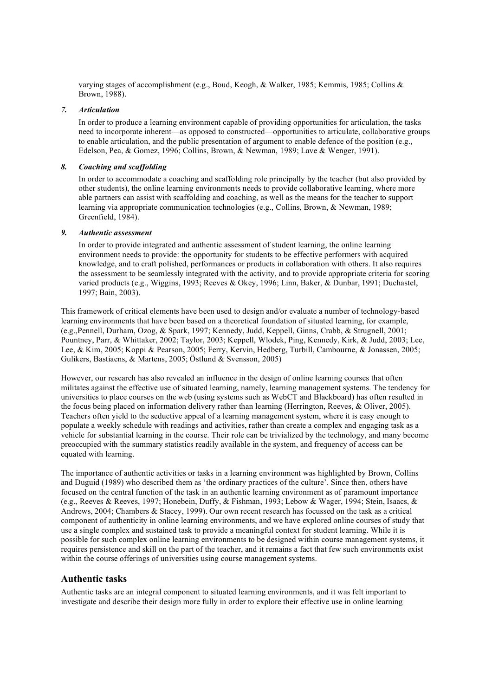varying stages of accomplishment (e.g., Boud, Keogh, & Walker, 1985; Kemmis, 1985; Collins & Brown, 1988).

#### *7. Articulation*

In order to produce a learning environment capable of providing opportunities for articulation, the tasks need to incorporate inherent—as opposed to constructed—opportunities to articulate, collaborative groups to enable articulation, and the public presentation of argument to enable defence of the position (e.g., Edelson, Pea, & Gomez, 1996; Collins, Brown, & Newman, 1989; Lave & Wenger, 1991).

### *8. Coaching and scaffolding*

In order to accommodate a coaching and scaffolding role principally by the teacher (but also provided by other students), the online learning environments needs to provide collaborative learning, where more able partners can assist with scaffolding and coaching, as well as the means for the teacher to support learning via appropriate communication technologies (e.g., Collins, Brown, & Newman, 1989; Greenfield, 1984).

### *9. Authentic assessment*

In order to provide integrated and authentic assessment of student learning, the online learning environment needs to provide: the opportunity for students to be effective performers with acquired knowledge, and to craft polished, performances or products in collaboration with others. It also requires the assessment to be seamlessly integrated with the activity, and to provide appropriate criteria for scoring varied products (e.g., Wiggins, 1993; Reeves & Okey, 1996; Linn, Baker, & Dunbar, 1991; Duchastel, 1997; Bain, 2003).

This framework of critical elements have been used to design and/or evaluate a number of technology-based learning environments that have been based on a theoretical foundation of situated learning, for example, (e.g.,Pennell, Durham, Ozog, & Spark, 1997; Kennedy, Judd, Keppell, Ginns, Crabb, & Strugnell, 2001; Pountney, Parr, & Whittaker, 2002; Taylor, 2003; Keppell, Wlodek, Ping, Kennedy, Kirk, & Judd, 2003; Lee, Lee, & Kim, 2005; Koppi & Pearson, 2005; Ferry, Kervin, Hedberg, Turbill, Cambourne, & Jonassen, 2005; Gulikers, Bastiaens, & Martens, 2005; Östlund & Svensson, 2005)

However, our research has also revealed an influence in the design of online learning courses that often militates against the effective use of situated learning, namely, learning management systems. The tendency for universities to place courses on the web (using systems such as WebCT and Blackboard) has often resulted in the focus being placed on information delivery rather than learning (Herrington, Reeves, & Oliver, 2005). Teachers often yield to the seductive appeal of a learning management system, where it is easy enough to populate a weekly schedule with readings and activities, rather than create a complex and engaging task as a vehicle for substantial learning in the course. Their role can be trivialized by the technology, and many become preoccupied with the summary statistics readily available in the system, and frequency of access can be equated with learning.

The importance of authentic activities or tasks in a learning environment was highlighted by Brown, Collins and Duguid (1989) who described them as 'the ordinary practices of the culture'. Since then, others have focused on the central function of the task in an authentic learning environment as of paramount importance (e.g., Reeves & Reeves, 1997; Honebein, Duffy, & Fishman, 1993; Lebow & Wager, 1994; Stein, Isaacs, & Andrews, 2004; Chambers & Stacey, 1999). Our own recent research has focussed on the task as a critical component of authenticity in online learning environments, and we have explored online courses of study that use a single complex and sustained task to provide a meaningful context for student learning. While it is possible for such complex online learning environments to be designed within course management systems, it requires persistence and skill on the part of the teacher, and it remains a fact that few such environments exist within the course offerings of universities using course management systems.

### **Authentic tasks**

Authentic tasks are an integral component to situated learning environments, and it was felt important to investigate and describe their design more fully in order to explore their effective use in online learning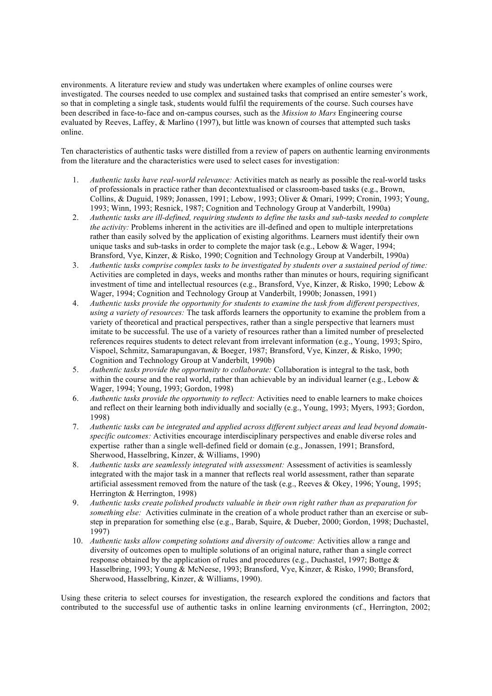environments. A literature review and study was undertaken where examples of online courses were investigated. The courses needed to use complex and sustained tasks that comprised an entire semester's work, so that in completing a single task, students would fulfil the requirements of the course. Such courses have been described in face-to-face and on-campus courses, such as the *Mission to Mars* Engineering course evaluated by Reeves, Laffey, & Marlino (1997), but little was known of courses that attempted such tasks online.

Ten characteristics of authentic tasks were distilled from a review of papers on authentic learning environments from the literature and the characteristics were used to select cases for investigation:

- 1. *Authentic tasks have real-world relevance:* Activities match as nearly as possible the real-world tasks of professionals in practice rather than decontextualised or classroom-based tasks (e.g., Brown, Collins, & Duguid, 1989; Jonassen, 1991; Lebow, 1993; Oliver & Omari, 1999; Cronin, 1993; Young, 1993; Winn, 1993; Resnick, 1987; Cognition and Technology Group at Vanderbilt, 1990a)
- 2. *Authentic tasks are ill-defined, requiring students to define the tasks and sub-tasks needed to complete the activity:* Problems inherent in the activities are ill-defined and open to multiple interpretations rather than easily solved by the application of existing algorithms. Learners must identify their own unique tasks and sub-tasks in order to complete the major task (e.g., Lebow & Wager, 1994; Bransford, Vye, Kinzer, & Risko, 1990; Cognition and Technology Group at Vanderbilt, 1990a)
- 3. *Authentic tasks comprise complex tasks to be investigated by students over a sustained period of time:* Activities are completed in days, weeks and months rather than minutes or hours, requiring significant investment of time and intellectual resources (e.g., Bransford, Vye, Kinzer, & Risko, 1990; Lebow & Wager, 1994; Cognition and Technology Group at Vanderbilt, 1990b; Jonassen, 1991)
- 4. *Authentic tasks provide the opportunity for students to examine the task from different perspectives, using a variety of resources:* The task affords learners the opportunity to examine the problem from a variety of theoretical and practical perspectives, rather than a single perspective that learners must imitate to be successful. The use of a variety of resources rather than a limited number of preselected references requires students to detect relevant from irrelevant information (e.g., Young, 1993; Spiro, Vispoel, Schmitz, Samarapungavan, & Boeger, 1987; Bransford, Vye, Kinzer, & Risko, 1990; Cognition and Technology Group at Vanderbilt, 1990b)
- 5. *Authentic tasks provide the opportunity to collaborate:* Collaboration is integral to the task, both within the course and the real world, rather than achievable by an individual learner (e.g., Lebow & Wager, 1994; Young, 1993; Gordon, 1998)
- 6. *Authentic tasks provide the opportunity to reflect:* Activities need to enable learners to make choices and reflect on their learning both individually and socially (e.g., Young, 1993; Myers, 1993; Gordon, 1998)
- 7. *Authentic tasks can be integrated and applied across different subject areas and lead beyond domainspecific outcomes:* Activities encourage interdisciplinary perspectives and enable diverse roles and expertise rather than a single well-defined field or domain (e.g., Jonassen, 1991; Bransford, Sherwood, Hasselbring, Kinzer, & Williams, 1990)
- 8. *Authentic tasks are seamlessly integrated with assessment:* Assessment of activities is seamlessly integrated with the major task in a manner that reflects real world assessment, rather than separate artificial assessment removed from the nature of the task (e.g., Reeves & Okey, 1996; Young, 1995; Herrington & Herrington, 1998)
- 9. *Authentic tasks create polished products valuable in their own right rather than as preparation for something else:* Activities culminate in the creation of a whole product rather than an exercise or substep in preparation for something else (e.g., Barab, Squire, & Dueber, 2000; Gordon, 1998; Duchastel, 1997)
- 10. *Authentic tasks allow competing solutions and diversity of outcome:* Activities allow a range and diversity of outcomes open to multiple solutions of an original nature, rather than a single correct response obtained by the application of rules and procedures (e.g., Duchastel, 1997; Bottge & Hasselbring, 1993; Young & McNeese, 1993; Bransford, Vye, Kinzer, & Risko, 1990; Bransford, Sherwood, Hasselbring, Kinzer, & Williams, 1990).

Using these criteria to select courses for investigation, the research explored the conditions and factors that contributed to the successful use of authentic tasks in online learning environments (cf., Herrington, 2002;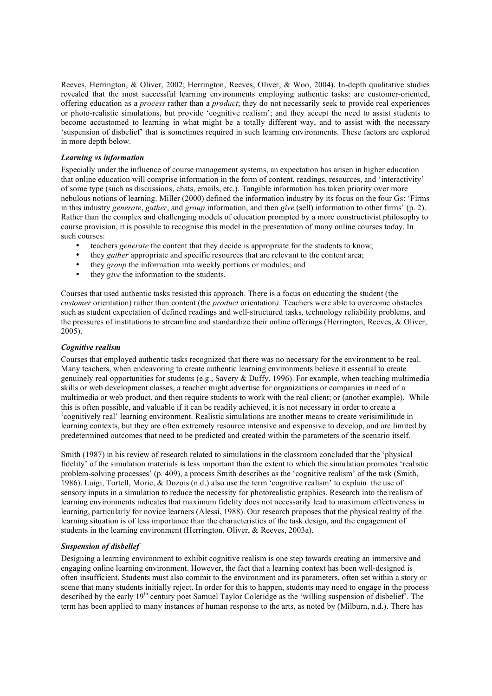Reeves, Herrington, & Oliver, 2002; Herrington, Reeves, Oliver, & Woo, 2004). In-depth qualitative studies revealed that the most successful learning environments employing authentic tasks: are customer-oriented, offering education as a *process* rather than a *product*; they do not necessarily seek to provide real experiences or photo-realistic simulations, but provide 'cognitive realism'; and they accept the need to assist students to become accustomed to learning in what might be a totally different way, and to assist with the necessary 'suspension of disbelief' that is sometimes required in such learning environments. These factors are explored in more depth below.

### *Learning vs information*

Especially under the influence of course management systems, an expectation has arisen in higher education that online education will comprise information in the form of content, readings, resources, and 'interactivity' of some type (such as discussions, chats, emails, etc.). Tangible information has taken priority over more nebulous notions of learning. Miller (2000) defined the information industry by its focus on the four Gs: 'Firms in this industry *generate*, *gather*, and *group* information, and then *give* (sell) information to other firms' (p. 2). Rather than the complex and challenging models of education prompted by a more constructivist philosophy to course provision, it is possible to recognise this model in the presentation of many online courses today. In such courses:

- teachers *generate* the content that they decide is appropriate for the students to know;
- they *gather* appropriate and specific resources that are relevant to the content area;
- they *group* the information into weekly portions or modules; and
- they *give* the information to the students.

Courses that used authentic tasks resisted this approach. There is a focus on educating the student (the *customer* orientation) rather than content (the *product* orientation*)*. Teachers were able to overcome obstacles such as student expectation of defined readings and well-structured tasks, technology reliability problems, and the pressures of institutions to streamline and standardize their online offerings (Herrington, Reeves, & Oliver, 2005).

#### *Cognitive realism*

Courses that employed authentic tasks recognized that there was no necessary for the environment to be real. Many teachers, when endeavoring to create authentic learning environments believe it essential to create genuinely real opportunities for students (e.g., Savery & Duffy, 1996). For example, when teaching multimedia skills or web development classes, a teacher might advertise for organizations or companies in need of a multimedia or web product, and then require students to work with the real client; or (another example). While this is often possible, and valuable if it can be readily achieved, it is not necessary in order to create a 'cognitively real' learning environment. Realistic simulations are another means to create verisimilitude in learning contexts, but they are often extremely resource intensive and expensive to develop, and are limited by predetermined outcomes that need to be predicted and created within the parameters of the scenario itself.

Smith (1987) in his review of research related to simulations in the classroom concluded that the 'physical fidelity' of the simulation materials is less important than the extent to which the simulation promotes 'realistic problem-solving processes' (p. 409), a process Smith describes as the 'cognitive realism' of the task (Smith, 1986). Luigi, Tortell, Morie, & Dozois (n.d.) also use the term 'cognitive realism' to explain the use of sensory inputs in a simulation to reduce the necessity for photorealistic graphics. Research into the realism of learning environments indicates that maximum fidelity does not necessarily lead to maximum effectiveness in learning, particularly for novice learners (Alessi, 1988). Our research proposes that the physical reality of the learning situation is of less importance than the characteristics of the task design, and the engagement of students in the learning environment (Herrington, Oliver, & Reeves, 2003a).

#### *Suspension of disbelief*

Designing a learning environment to exhibit cognitive realism is one step towards creating an immersive and engaging online learning environment. However, the fact that a learning context has been well-designed is often insufficient. Students must also commit to the environment and its parameters, often set within a story or scene that many students initially reject. In order for this to happen, students may need to engage in the process described by the early 19<sup>th</sup> century poet Samuel Taylor Coleridge as the 'willing suspension of disbelief'. The term has been applied to many instances of human response to the arts, as noted by (Milburn, n.d.). There has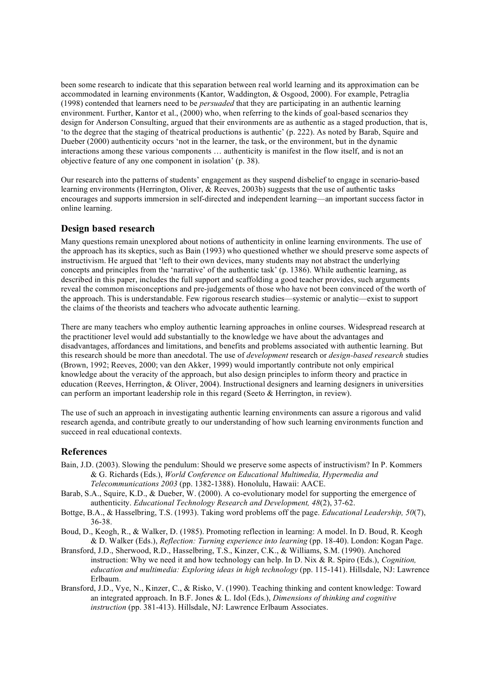been some research to indicate that this separation between real world learning and its approximation can be accommodated in learning environments (Kantor, Waddington, & Osgood, 2000). For example, Petraglia (1998) contended that learners need to be *persuaded* that they are participating in an authentic learning environment. Further, Kantor et al., (2000) who, when referring to the kinds of goal-based scenarios they design for Anderson Consulting, argued that their environments are as authentic as a staged production, that is, 'to the degree that the staging of theatrical productions is authentic' (p. 222). As noted by Barab, Squire and Dueber (2000) authenticity occurs 'not in the learner, the task, or the environment, but in the dynamic interactions among these various components … authenticity is manifest in the flow itself, and is not an objective feature of any one component in isolation' (p. 38).

Our research into the patterns of students' engagement as they suspend disbelief to engage in scenario-based learning environments (Herrington, Oliver, & Reeves, 2003b) suggests that the use of authentic tasks encourages and supports immersion in self-directed and independent learning—an important success factor in online learning.

# **Design based research**

Many questions remain unexplored about notions of authenticity in online learning environments. The use of the approach has its skeptics, such as Bain (1993) who questioned whether we should preserve some aspects of instructivism. He argued that 'left to their own devices, many students may not abstract the underlying concepts and principles from the 'narrative' of the authentic task' (p. 1386). While authentic learning, as described in this paper, includes the full support and scaffolding a good teacher provides, such arguments reveal the common misconceptions and pre-judgements of those who have not been convinced of the worth of the approach. This is understandable. Few rigorous research studies—systemic or analytic—exist to support the claims of the theorists and teachers who advocate authentic learning.

There are many teachers who employ authentic learning approaches in online courses. Widespread research at the practitioner level would add substantially to the knowledge we have about the advantages and disadvantages, affordances and limitations, and benefits and problems associated with authentic learning. But this research should be more than anecdotal. The use of *development* research or *design-based research* studies (Brown, 1992; Reeves, 2000; van den Akker, 1999) would importantly contribute not only empirical knowledge about the veracity of the approach, but also design principles to inform theory and practice in education (Reeves, Herrington, & Oliver, 2004). Instructional designers and learning designers in universities can perform an important leadership role in this regard (Seeto & Herrington, in review).

The use of such an approach in investigating authentic learning environments can assure a rigorous and valid research agenda, and contribute greatly to our understanding of how such learning environments function and succeed in real educational contexts.

# **References**

- Bain, J.D. (2003). Slowing the pendulum: Should we preserve some aspects of instructivism? In P. Kommers & G. Richards (Eds.), *World Conference on Educational Multimedia, Hypermedia and Telecommunications 2003* (pp. 1382-1388). Honolulu, Hawaii: AACE.
- Barab, S.A., Squire, K.D., & Dueber, W. (2000). A co-evolutionary model for supporting the emergence of authenticity. *Educational Technology Research and Development, 48*(2), 37-62.
- Bottge, B.A., & Hasselbring, T.S. (1993). Taking word problems off the page. *Educational Leadership, 50*(7), 36-38.
- Boud, D., Keogh, R., & Walker, D. (1985). Promoting reflection in learning: A model. In D. Boud, R. Keogh & D. Walker (Eds.), *Reflection: Turning experience into learning* (pp. 18-40). London: Kogan Page.
- Bransford, J.D., Sherwood, R.D., Hasselbring, T.S., Kinzer, C.K., & Williams, S.M. (1990). Anchored instruction: Why we need it and how technology can help. In D. Nix & R. Spiro (Eds.), *Cognition, education and multimedia: Exploring ideas in high technology* (pp. 115-141). Hillsdale, NJ: Lawrence Erlbaum.
- Bransford, J.D., Vye, N., Kinzer, C., & Risko, V. (1990). Teaching thinking and content knowledge: Toward an integrated approach. In B.F. Jones & L. Idol (Eds.), *Dimensions of thinking and cognitive instruction* (pp. 381-413). Hillsdale, NJ: Lawrence Erlbaum Associates.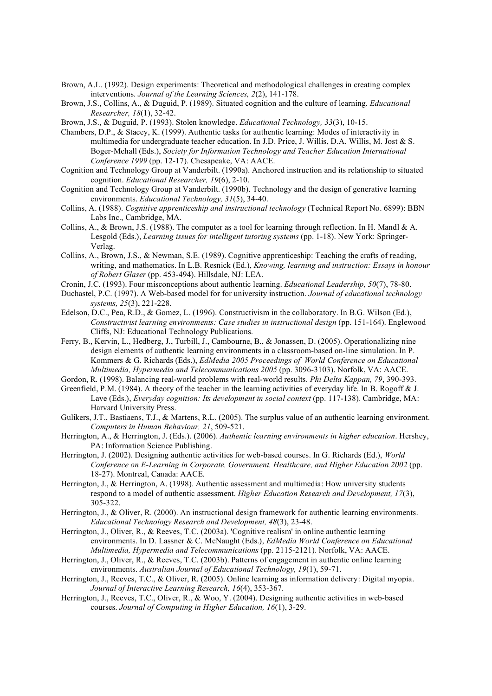- Brown, A.L. (1992). Design experiments: Theoretical and methodological challenges in creating complex interventions. *Journal of the Learning Sciences, 2*(2), 141-178.
- Brown, J.S., Collins, A., & Duguid, P. (1989). Situated cognition and the culture of learning. *Educational Researcher, 18*(1), 32-42.
- Brown, J.S., & Duguid, P. (1993). Stolen knowledge. *Educational Technology, 33*(3), 10-15.
- Chambers, D.P., & Stacey, K. (1999). Authentic tasks for authentic learning: Modes of interactivity in multimedia for undergraduate teacher education. In J.D. Price, J. Willis, D.A. Willis, M. Jost & S. Boger-Mehall (Eds.), *Society for Information Technology and Teacher Education International Conference 1999* (pp. 12-17). Chesapeake, VA: AACE.
- Cognition and Technology Group at Vanderbilt. (1990a). Anchored instruction and its relationship to situated cognition. *Educational Researcher, 19*(6), 2-10.
- Cognition and Technology Group at Vanderbilt. (1990b). Technology and the design of generative learning environments. *Educational Technology, 31*(5), 34-40.
- Collins, A. (1988). *Cognitive apprenticeship and instructional technology* (Technical Report No. 6899): BBN Labs Inc., Cambridge, MA.
- Collins, A., & Brown, J.S. (1988). The computer as a tool for learning through reflection. In H. Mandl & A. Lesgold (Eds.), *Learning issues for intelligent tutoring systems* (pp. 1-18). New York: Springer-Verlag.
- Collins, A., Brown, J.S., & Newman, S.E. (1989). Cognitive apprenticeship: Teaching the crafts of reading, writing, and mathematics. In L.B. Resnick (Ed.), *Knowing, learning and instruction: Essays in honour of Robert Glaser* (pp. 453-494). Hillsdale, NJ: LEA.
- Cronin, J.C. (1993). Four misconceptions about authentic learning. *Educational Leadership, 50*(7), 78-80.
- Duchastel, P.C. (1997). A Web-based model for for university instruction. *Journal of educational technology systems, 25*(3), 221-228.
- Edelson, D.C., Pea, R.D., & Gomez, L. (1996). Constructivism in the collaboratory. In B.G. Wilson (Ed.), *Constructivist learning environments: Case studies in instructional design* (pp. 151-164). Englewood Cliffs, NJ: Educational Technology Publications.
- Ferry, B., Kervin, L., Hedberg, J., Turbill, J., Cambourne, B., & Jonassen, D. (2005). Operationalizing nine design elements of authentic learning environments in a classroom-based on-line simulation. In P. Kommers & G. Richards (Eds.), *EdMedia 2005 Proceedings of World Conference on Educational Multimedia, Hypermedia and Telecommunications 2005* (pp. 3096-3103). Norfolk, VA: AACE.

Gordon, R. (1998). Balancing real-world problems with real-world results. *Phi Delta Kappan, 79*, 390-393.

- Greenfield, P.M. (1984). A theory of the teacher in the learning activities of everyday life. In B. Rogoff & J. Lave (Eds.), *Everyday cognition: Its development in social context* (pp. 117-138). Cambridge, MA: Harvard University Press.
- Gulikers, J.T., Bastiaens, T.J., & Martens, R.L. (2005). The surplus value of an authentic learning environment. *Computers in Human Behaviour, 21*, 509-521.
- Herrington, A., & Herrington, J. (Eds.). (2006). *Authentic learning environments in higher education*. Hershey, PA: Information Science Publishing.
- Herrington, J. (2002). Designing authentic activities for web-based courses. In G. Richards (Ed.), *World Conference on E-Learning in Corporate, Government, Healthcare, and Higher Education 2002* (pp. 18-27). Montreal, Canada: AACE.
- Herrington, J., & Herrington, A. (1998). Authentic assessment and multimedia: How university students respond to a model of authentic assessment. *Higher Education Research and Development, 17*(3), 305-322.
- Herrington, J., & Oliver, R. (2000). An instructional design framework for authentic learning environments. *Educational Technology Research and Development, 48*(3), 23-48.
- Herrington, J., Oliver, R., & Reeves, T.C. (2003a). 'Cognitive realism' in online authentic learning environments. In D. Lassner & C. McNaught (Eds.), *EdMedia World Conference on Educational Multimedia, Hypermedia and Telecommunications* (pp. 2115-2121). Norfolk, VA: AACE.
- Herrington, J., Oliver, R., & Reeves, T.C. (2003b). Patterns of engagement in authentic online learning environments. *Australian Journal of Educational Technology, 19*(1), 59-71.
- Herrington, J., Reeves, T.C., & Oliver, R. (2005). Online learning as information delivery: Digital myopia. *Journal of Interactive Learning Research, 16*(4), 353-367.
- Herrington, J., Reeves, T.C., Oliver, R., & Woo, Y. (2004). Designing authentic activities in web-based courses. *Journal of Computing in Higher Education, 16*(1), 3-29.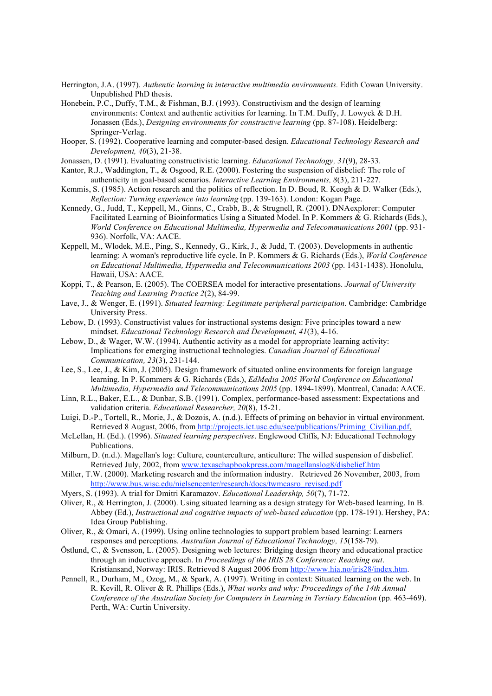Herrington, J.A. (1997). *Authentic learning in interactive multimedia environments.* Edith Cowan University. Unpublished PhD thesis.

- Honebein, P.C., Duffy, T.M., & Fishman, B.J. (1993). Constructivism and the design of learning environments: Context and authentic activities for learning. In T.M. Duffy, J. Lowyck & D.H. Jonassen (Eds.), *Designing environments for constructive learning* (pp. 87-108). Heidelberg: Springer-Verlag.
- Hooper, S. (1992). Cooperative learning and computer-based design. *Educational Technology Research and Development, 40*(3), 21-38.
- Jonassen, D. (1991). Evaluating constructivistic learning. *Educational Technology, 31*(9), 28-33.
- Kantor, R.J., Waddington, T., & Osgood, R.E. (2000). Fostering the suspension of disbelief: The role of authenticity in goal-based scenarios. *Interactive Learning Environments, 8*(3), 211-227.
- Kemmis, S. (1985). Action research and the politics of reflection. In D. Boud, R. Keogh & D. Walker (Eds.), *Reflection: Turning experience into learning* (pp. 139-163). London: Kogan Page.
- Kennedy, G., Judd, T., Keppell, M., Ginns, C., Crabb, B., & Strugnell, R. (2001). DNAexplorer: Computer Facilitated Learning of Bioinformatics Using a Situated Model. In P. Kommers & G. Richards (Eds.), *World Conference on Educational Multimedia, Hypermedia and Telecommunications 2001* (pp. 931- 936). Norfolk, VA: AACE.
- Keppell, M., Wlodek, M.E., Ping, S., Kennedy, G., Kirk, J., & Judd, T. (2003). Developments in authentic learning: A woman's reproductive life cycle. In P. Kommers & G. Richards (Eds.), *World Conference on Educational Multimedia, Hypermedia and Telecommunications 2003* (pp. 1431-1438). Honolulu, Hawaii, USA: AACE.
- Koppi, T., & Pearson, E. (2005). The COERSEA model for interactive presentations. *Journal of University Teaching and Learning Practice 2*(2), 84-99.
- Lave, J., & Wenger, E. (1991). *Situated learning: Legitimate peripheral participation*. Cambridge: Cambridge University Press.
- Lebow, D. (1993). Constructivist values for instructional systems design: Five principles toward a new mindset. *Educational Technology Research and Development, 41*(3), 4-16.
- Lebow, D., & Wager, W.W. (1994). Authentic activity as a model for appropriate learning activity: Implications for emerging instructional technologies. *Canadian Journal of Educational Communication, 23*(3), 231-144.
- Lee, S., Lee, J., & Kim, J. (2005). Design framework of situated online environments for foreign language learning. In P. Kommers & G. Richards (Eds.), *EdMedia 2005 World Conference on Educational Multimedia, Hypermedia and Telecommunications 2005* (pp. 1894-1899). Montreal, Canada: AACE.
- Linn, R.L., Baker, E.L., & Dunbar, S.B. (1991). Complex, performance-based assessment: Expectations and validation criteria. *Educational Researcher, 20*(8), 15-21.
- Luigi, D.-P., Tortell, R., Morie, J., & Dozois, A. (n.d.). Effects of priming on behavior in virtual environment. Retrieved 8 August, 2006, from http://projects.ict.usc.edu/see/publications/Priming\_Civilian.pdf.
- McLellan, H. (Ed.). (1996). *Situated learning perspectives*. Englewood Cliffs, NJ: Educational Technology Publications.
- Milburn, D. (n.d.). Magellan's log: Culture, counterculture, anticulture: The willed suspension of disbelief. Retrieved July, 2002, from www.texaschapbookpress.com/magellanslog8/disbelief.htm
- Miller, T.W. (2000). Marketing research and the information industry. Retrieved 26 November, 2003, from http://www.bus.wisc.edu/nielsencenter/research/docs/twmcasro\_revised.pdf
- Myers, S. (1993). A trial for Dmitri Karamazov. *Educational Leadership, 50*(7), 71-72.
- Oliver, R., & Herrington, J. (2000). Using situated learning as a design strategy for Web-based learning. In B. Abbey (Ed.), *Instructional and cognitive impacts of web-based education* (pp. 178-191). Hershey, PA: Idea Group Publishing.
- Oliver, R., & Omari, A. (1999). Using online technologies to support problem based learning: Learners responses and perceptions. *Australian Journal of Educational Technology, 15*(158-79).
- Östlund, C., & Svensson, L. (2005). Designing web lectures: Bridging design theory and educational practice through an inductive approach. In *Proceedings of the IRIS 28 Conference: Reaching out*. Kristiansand, Norway: IRIS. Retrieved 8 August 2006 from http://www.hia.no/iris28/index.htm.
- Pennell, R., Durham, M., Ozog, M., & Spark, A. (1997). Writing in context: Situated learning on the web. In R. Kevill, R. Oliver & R. Phillips (Eds.), *What works and why: Proceedings of the 14th Annual Conference of the Australian Society for Computers in Learning in Tertiary Education* (pp. 463-469). Perth, WA: Curtin University.